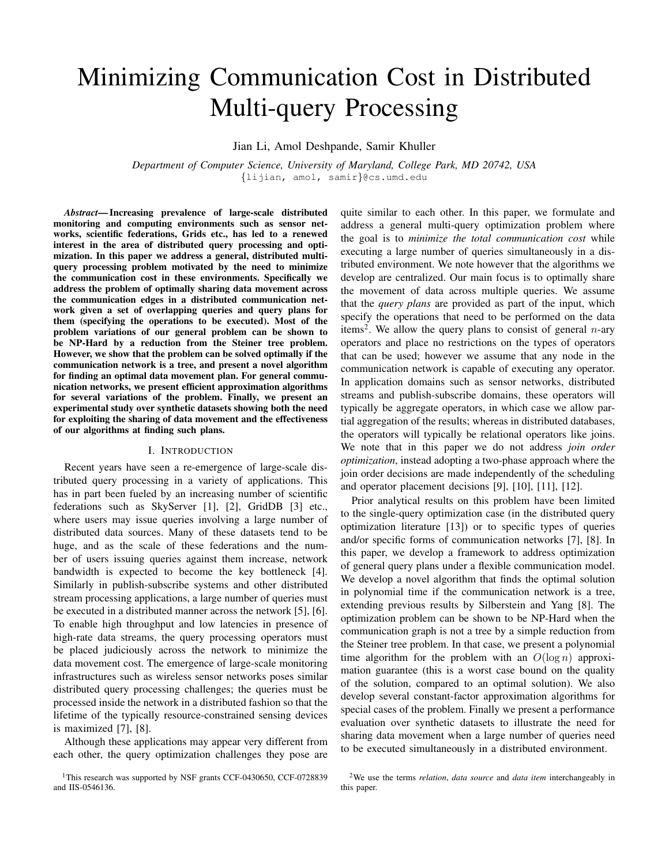# Minimizing Communication Cost in Distributed Multi-query Processing

Jian Li, Amol Deshpande, Samir Khuller

*Department of Computer Science, University of Maryland, College Park, MD 20742, USA* {lijian, amol, samir}@cs.umd.edu

*Abstract*— Increasing prevalence of large-scale distributed monitoring and computing environments such as sensor networks, scientific federations, Grids etc., has led to a renewed interest in the area of distributed query processing and optimization. In this paper we address a general, distributed multiquery processing problem motivated by the need to minimize the communication cost in these environments. Specifically we address the problem of optimally sharing data movement across the communication edges in a distributed communication network given a set of overlapping queries and query plans for them (specifying the operations to be executed). Most of the problem variations of our general problem can be shown to be NP-Hard by a reduction from the Steiner tree problem. However, we show that the problem can be solved optimally if the communication network is a tree, and present a novel algorithm for finding an optimal data movement plan. For general communication networks, we present efficient approximation algorithms for several variations of the problem. Finally, we present an experimental study over synthetic datasets showing both the need for exploiting the sharing of data movement and the effectiveness of our algorithms at finding such plans.

#### I. INTRODUCTION

Recent years have seen a re-emergence of large-scale distributed query processing in a variety of applications. This has in part been fueled by an increasing number of scientific federations such as SkyServer [1], [2], GridDB [3] etc., where users may issue queries involving a large number of distributed data sources. Many of these datasets tend to be huge, and as the scale of these federations and the number of users issuing queries against them increase, network bandwidth is expected to become the key bottleneck [4]. Similarly in publish-subscribe systems and other distributed stream processing applications, a large number of queries must be executed in a distributed manner across the network [5], [6]. To enable high throughput and low latencies in presence of high-rate data streams, the query processing operators must be placed judiciously across the network to minimize the data movement cost. The emergence of large-scale monitoring infrastructures such as wireless sensor networks poses similar distributed query processing challenges; the queries must be processed inside the network in a distributed fashion so that the lifetime of the typically resource-constrained sensing devices is maximized [7], [8].

Although these applications may appear very different from each other, the query optimization challenges they pose are quite similar to each other. In this paper, we formulate and address a general multi-query optimization problem where the goal is to *minimize the total communication cost* while executing a large number of queries simultaneously in a distributed environment. We note however that the algorithms we develop are centralized. Our main focus is to optimally share the movement of data across multiple queries. We assume that the *query plans* are provided as part of the input, which specify the operations that need to be performed on the data items<sup>2</sup>. We allow the query plans to consist of general *n*-ary operators and place no restrictions on the types of operators that can be used; however we assume that any node in the communication network is capable of executing any operator. In application domains such as sensor networks, distributed streams and publish-subscribe domains, these operators will typically be aggregate operators, in which case we allow partial aggregation of the results; whereas in distributed databases, the operators will typically be relational operators like joins. We note that in this paper we do not address *join order optimization*, instead adopting a two-phase approach where the join order decisions are made independently of the scheduling and operator placement decisions [9], [10], [11], [12].

Prior analytical results on this problem have been limited to the single-query optimization case (in the distributed query optimization literature [13]) or to specific types of queries and/or specific forms of communication networks [7], [8]. In this paper, we develop a framework to address optimization of general query plans under a flexible communication model. We develop a novel algorithm that finds the optimal solution in polynomial time if the communication network is a tree, extending previous results by Silberstein and Yang [8]. The optimization problem can be shown to be NP-Hard when the communication graph is not a tree by a simple reduction from the Steiner tree problem. In that case, we present a polynomial time algorithm for the problem with an  $O(\log n)$  approximation guarantee (this is a worst case bound on the quality of the solution, compared to an optimal solution). We also develop several constant-factor approximation algorithms for special cases of the problem. Finally we present a performance evaluation over synthetic datasets to illustrate the need for sharing data movement when a large number of queries need to be executed simultaneously in a distributed environment.

<sup>&</sup>lt;sup>1</sup>This research was supported by NSF grants CCF-0430650, CCF-0728839 and IIS-0546136.

<sup>2</sup>We use the terms *relation*, *data source* and *data item* interchangeably in this paper.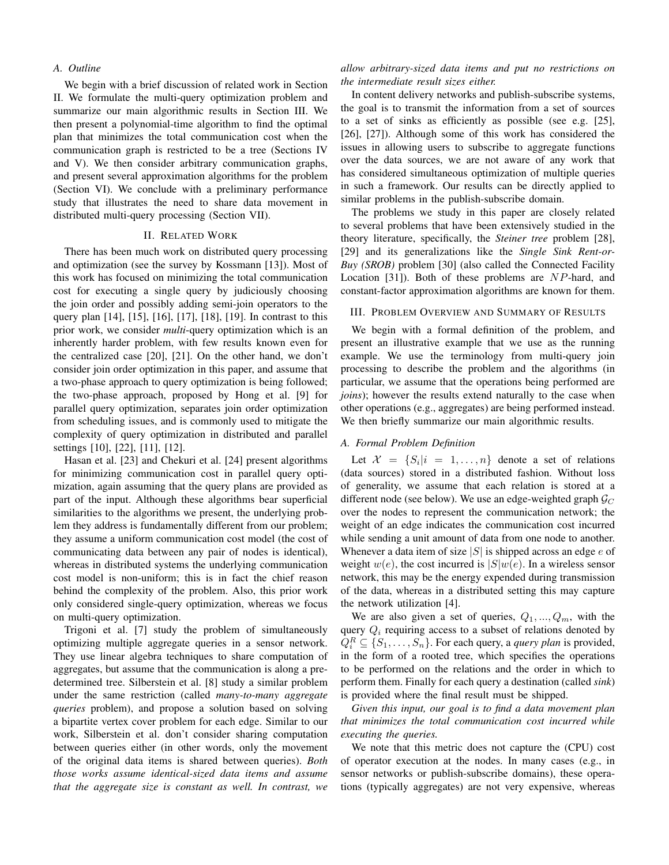#### *A. Outline*

We begin with a brief discussion of related work in Section II. We formulate the multi-query optimization problem and summarize our main algorithmic results in Section III. We then present a polynomial-time algorithm to find the optimal plan that minimizes the total communication cost when the communication graph is restricted to be a tree (Sections IV and V). We then consider arbitrary communication graphs, and present several approximation algorithms for the problem (Section VI). We conclude with a preliminary performance study that illustrates the need to share data movement in distributed multi-query processing (Section VII).

#### II. RELATED WORK

There has been much work on distributed query processing and optimization (see the survey by Kossmann [13]). Most of this work has focused on minimizing the total communication cost for executing a single query by judiciously choosing the join order and possibly adding semi-join operators to the query plan [14], [15], [16], [17], [18], [19]. In contrast to this prior work, we consider *multi*-query optimization which is an inherently harder problem, with few results known even for the centralized case [20], [21]. On the other hand, we don't consider join order optimization in this paper, and assume that a two-phase approach to query optimization is being followed; the two-phase approach, proposed by Hong et al. [9] for parallel query optimization, separates join order optimization from scheduling issues, and is commonly used to mitigate the complexity of query optimization in distributed and parallel settings [10], [22], [11], [12].

Hasan et al. [23] and Chekuri et al. [24] present algorithms for minimizing communication cost in parallel query optimization, again assuming that the query plans are provided as part of the input. Although these algorithms bear superficial similarities to the algorithms we present, the underlying problem they address is fundamentally different from our problem; they assume a uniform communication cost model (the cost of communicating data between any pair of nodes is identical), whereas in distributed systems the underlying communication cost model is non-uniform; this is in fact the chief reason behind the complexity of the problem. Also, this prior work only considered single-query optimization, whereas we focus on multi-query optimization.

Trigoni et al. [7] study the problem of simultaneously optimizing multiple aggregate queries in a sensor network. They use linear algebra techniques to share computation of aggregates, but assume that the communication is along a predetermined tree. Silberstein et al. [8] study a similar problem under the same restriction (called *many-to-many aggregate queries* problem), and propose a solution based on solving a bipartite vertex cover problem for each edge. Similar to our work, Silberstein et al. don't consider sharing computation between queries either (in other words, only the movement of the original data items is shared between queries). *Both those works assume identical-sized data items and assume that the aggregate size is constant as well. In contrast, we*

# *allow arbitrary-sized data items and put no restrictions on the intermediate result sizes either.*

In content delivery networks and publish-subscribe systems, the goal is to transmit the information from a set of sources to a set of sinks as efficiently as possible (see e.g. [25], [26], [27]). Although some of this work has considered the issues in allowing users to subscribe to aggregate functions over the data sources, we are not aware of any work that has considered simultaneous optimization of multiple queries in such a framework. Our results can be directly applied to similar problems in the publish-subscribe domain.

The problems we study in this paper are closely related to several problems that have been extensively studied in the theory literature, specifically, the *Steiner tree* problem [28], [29] and its generalizations like the *Single Sink Rent-or-Buy (SROB)* problem [30] (also called the Connected Facility Location [31]). Both of these problems are NP-hard, and constant-factor approximation algorithms are known for them.

## III. PROBLEM OVERVIEW AND SUMMARY OF RESULTS

We begin with a formal definition of the problem, and present an illustrative example that we use as the running example. We use the terminology from multi-query join processing to describe the problem and the algorithms (in particular, we assume that the operations being performed are *joins*); however the results extend naturally to the case when other operations (e.g., aggregates) are being performed instead. We then briefly summarize our main algorithmic results.

#### *A. Formal Problem Definition*

Let  $\mathcal{X} = \{S_i | i = 1, ..., n\}$  denote a set of relations (data sources) stored in a distributed fashion. Without loss of generality, we assume that each relation is stored at a different node (see below). We use an edge-weighted graph  $\mathcal{G}_C$ over the nodes to represent the communication network; the weight of an edge indicates the communication cost incurred while sending a unit amount of data from one node to another. Whenever a data item of size |S| is shipped across an edge  $e$  of weight  $w(e)$ , the cost incurred is  $|S|w(e)$ . In a wireless sensor network, this may be the energy expended during transmission of the data, whereas in a distributed setting this may capture the network utilization [4].

We are also given a set of queries,  $Q_1, ..., Q_m$ , with the query  $Q_i$  requiring access to a subset of relations denoted by  $Q_i^R \subseteq \{S_1, \ldots, S_n\}$ . For each query, a *query plan* is provided, in the form of a rooted tree, which specifies the operations to be performed on the relations and the order in which to perform them. Finally for each query a destination (called *sink*) is provided where the final result must be shipped.

*Given this input, our goal is to find a data movement plan that minimizes the total communication cost incurred while executing the queries.*

We note that this metric does not capture the (CPU) cost of operator execution at the nodes. In many cases (e.g., in sensor networks or publish-subscribe domains), these operations (typically aggregates) are not very expensive, whereas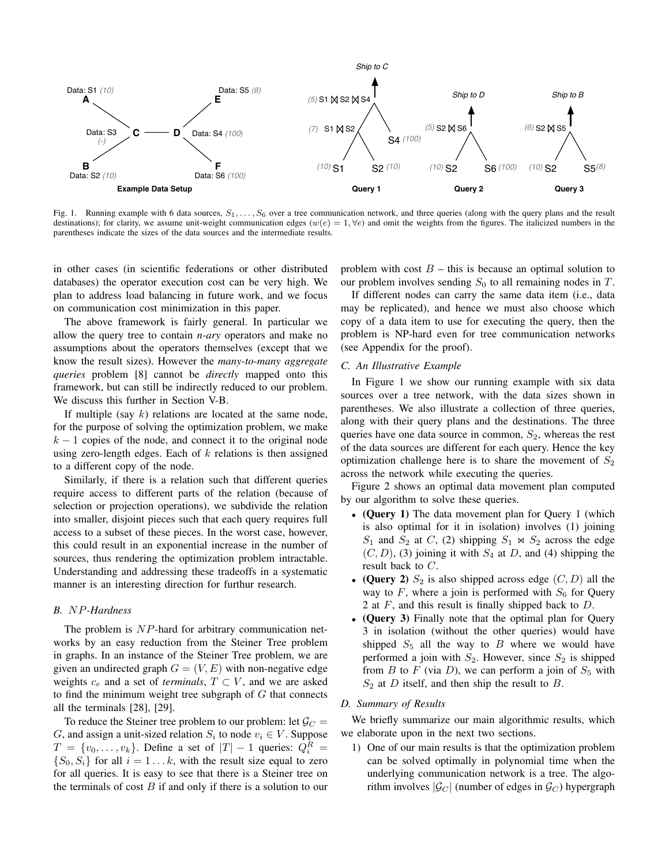

Fig. 1. Running example with 6 data sources,  $S_1, \ldots, S_6$  over a tree communication network, and three queries (along with the query plans and the result destinations); for clarity, we assume unit-weight communication edges ( $w(e) = 1, \forall e$ ) and omit the weights from the figures. The italicized numbers in the parentheses indicate the sizes of the data sources and the intermediate results.

in other cases (in scientific federations or other distributed databases) the operator execution cost can be very high. We plan to address load balancing in future work, and we focus on communication cost minimization in this paper.

The above framework is fairly general. In particular we allow the query tree to contain *n-ary* operators and make no assumptions about the operators themselves (except that we know the result sizes). However the *many-to-many aggregate queries* problem [8] cannot be *directly* mapped onto this framework, but can still be indirectly reduced to our problem. We discuss this further in Section V-B.

If multiple (say  $k$ ) relations are located at the same node, for the purpose of solving the optimization problem, we make  $k-1$  copies of the node, and connect it to the original node using zero-length edges. Each of  $k$  relations is then assigned to a different copy of the node.

Similarly, if there is a relation such that different queries require access to different parts of the relation (because of selection or projection operations), we subdivide the relation into smaller, disjoint pieces such that each query requires full access to a subset of these pieces. In the worst case, however, this could result in an exponential increase in the number of sources, thus rendering the optimization problem intractable. Understanding and addressing these tradeoffs in a systematic manner is an interesting direction for furthur research.

## *B.* NP*-Hardness*

The problem is  $NP$ -hard for arbitrary communication networks by an easy reduction from the Steiner Tree problem in graphs. In an instance of the Steiner Tree problem, we are given an undirected graph  $G = (V, E)$  with non-negative edge weights  $c_e$  and a set of *terminals*,  $T \subset V$ , and we are asked to find the minimum weight tree subgraph of  $G$  that connects all the terminals [28], [29].

To reduce the Steiner tree problem to our problem: let  $\mathcal{G}_C$  = G, and assign a unit-sized relation  $S_i$  to node  $v_i \in V$ . Suppose  $T = \{v_0, \ldots, v_k\}$ . Define a set of  $|T| - 1$  queries:  $Q_i^R =$  $\{S_0, S_i\}$  for all  $i = 1...k$ , with the result size equal to zero for all queries. It is easy to see that there is a Steiner tree on the terminals of cost  $B$  if and only if there is a solution to our

problem with cost  $B$  – this is because an optimal solution to our problem involves sending  $S_0$  to all remaining nodes in  $T$ .

If different nodes can carry the same data item (i.e., data may be replicated), and hence we must also choose which copy of a data item to use for executing the query, then the problem is NP-hard even for tree communication networks (see Appendix for the proof).

## *C. An Illustrative Example*

In Figure 1 we show our running example with six data sources over a tree network, with the data sizes shown in parentheses. We also illustrate a collection of three queries, along with their query plans and the destinations. The three queries have one data source in common,  $S_2$ , whereas the rest of the data sources are different for each query. Hence the key optimization challenge here is to share the movement of  $S_2$ across the network while executing the queries.

Figure 2 shows an optimal data movement plan computed by our algorithm to solve these queries.

- (Query 1) The data movement plan for Query 1 (which is also optimal for it in isolation) involves (1) joining  $S_1$  and  $S_2$  at C, (2) shipping  $S_1 \bowtie S_2$  across the edge  $(C, D)$ , (3) joining it with  $S_4$  at D, and (4) shipping the result back to C.
- (Query 2)  $S_2$  is also shipped across edge  $(C, D)$  all the way to  $F$ , where a join is performed with  $S_6$  for Query 2 at  $F$ , and this result is finally shipped back to  $D$ .
- (Query 3) Finally note that the optimal plan for Query 3 in isolation (without the other queries) would have shipped  $S_5$  all the way to B where we would have performed a join with  $S_2$ . However, since  $S_2$  is shipped from B to F (via D), we can perform a join of  $S_5$  with  $S_2$  at D itself, and then ship the result to B.

## *D. Summary of Results*

We briefly summarize our main algorithmic results, which we elaborate upon in the next two sections.

1) One of our main results is that the optimization problem can be solved optimally in polynomial time when the underlying communication network is a tree. The algorithm involves  $|\mathcal{G}_C|$  (number of edges in  $\mathcal{G}_C$ ) hypergraph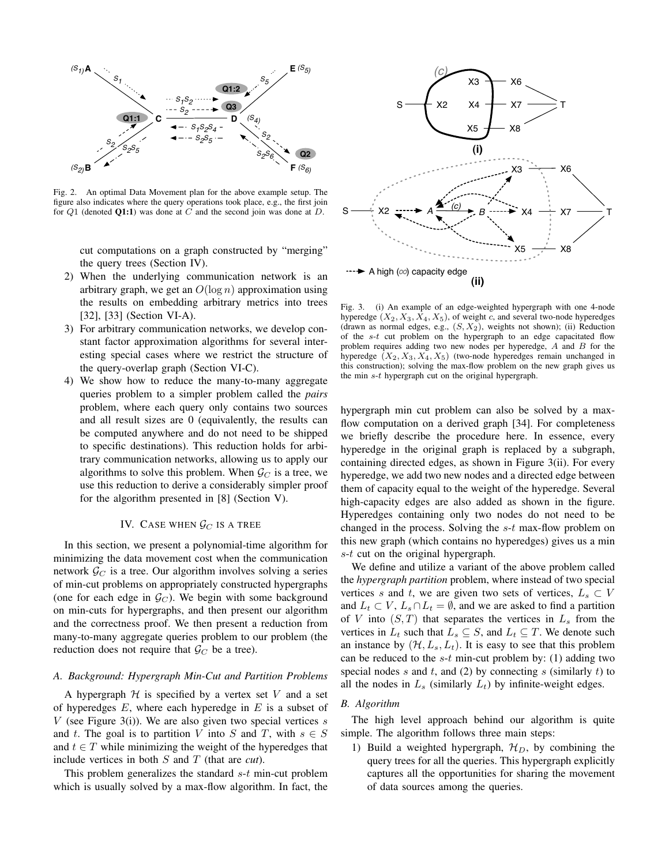

Fig. 2. An optimal Data Movement plan for the above example setup. The figure also indicates where the query operations took place, e.g., the first join for  $Q1$  (denoted  $Q1:1$ ) was done at  $C$  and the second join was done at  $D$ .

cut computations on a graph constructed by "merging" the query trees (Section IV).

- 2) When the underlying communication network is an arbitrary graph, we get an  $O(\log n)$  approximation using the results on embedding arbitrary metrics into trees [32], [33] (Section VI-A).
- 3) For arbitrary communication networks, we develop constant factor approximation algorithms for several interesting special cases where we restrict the structure of the query-overlap graph (Section VI-C).
- 4) We show how to reduce the many-to-many aggregate queries problem to a simpler problem called the *pairs* problem, where each query only contains two sources and all result sizes are 0 (equivalently, the results can be computed anywhere and do not need to be shipped to specific destinations). This reduction holds for arbitrary communication networks, allowing us to apply our algorithms to solve this problem. When  $\mathcal{G}_C$  is a tree, we use this reduction to derive a considerably simpler proof for the algorithm presented in [8] (Section V).

#### IV. CASE WHEN  $\mathcal{G}_C$  is a Tree

In this section, we present a polynomial-time algorithm for minimizing the data movement cost when the communication network  $\mathcal{G}_C$  is a tree. Our algorithm involves solving a series of min-cut problems on appropriately constructed hypergraphs (one for each edge in  $\mathcal{G}_C$ ). We begin with some background on min-cuts for hypergraphs, and then present our algorithm and the correctness proof. We then present a reduction from many-to-many aggregate queries problem to our problem (the reduction does not require that  $\mathcal{G}_C$  be a tree).

#### *A. Background: Hypergraph Min-Cut and Partition Problems*

A hypergraph  $H$  is specified by a vertex set V and a set of hyperedges  $E$ , where each hyperedge in  $E$  is a subset of V (see Figure 3(i)). We are also given two special vertices  $s$ and t. The goal is to partition V into S and T, with  $s \in S$ and  $t \in T$  while minimizing the weight of the hyperedges that include vertices in both S and T (that are *cut*).

This problem generalizes the standard  $s-t$  min-cut problem which is usually solved by a max-flow algorithm. In fact, the



Fig. 3. (i) An example of an edge-weighted hypergraph with one 4-node hyperedge  $(X_2, X_3, X_4, X_5)$ , of weight c, and several two-node hyperedges (drawn as normal edges, e.g.,  $(S, X_2)$ , weights not shown); (ii) Reduction of the s-t cut problem on the hypergraph to an edge capacitated flow problem requires adding two new nodes per hyperedge, A and B for the hyperedge  $(X_2, X_3, X_4, X_5)$  (two-node hyperedges remain unchanged in this construction); solving the max-flow problem on the new graph gives us the min s-t hypergraph cut on the original hypergraph.

hypergraph min cut problem can also be solved by a maxflow computation on a derived graph [34]. For completeness we briefly describe the procedure here. In essence, every hyperedge in the original graph is replaced by a subgraph, containing directed edges, as shown in Figure 3(ii). For every hyperedge, we add two new nodes and a directed edge between them of capacity equal to the weight of the hyperedge. Several high-capacity edges are also added as shown in the figure. Hyperedges containing only two nodes do not need to be changed in the process. Solving the  $s$ -t max-flow problem on this new graph (which contains no hyperedges) gives us a min  $s-t$  cut on the original hypergraph.

We define and utilize a variant of the above problem called the *hypergraph partition* problem, where instead of two special vertices s and t, we are given two sets of vertices,  $L_s \subset V$ and  $L_t \subset V$ ,  $L_s \cap L_t = \emptyset$ , and we are asked to find a partition of V into  $(S, T)$  that separates the vertices in  $L<sub>s</sub>$  from the vertices in  $L_t$  such that  $L_s \subseteq S$ , and  $L_t \subseteq T$ . We denote such an instance by  $(\mathcal{H}, L_s, L_t)$ . It is easy to see that this problem can be reduced to the  $s-t$  min-cut problem by: (1) adding two special nodes  $s$  and  $t$ , and (2) by connecting  $s$  (similarly  $t$ ) to all the nodes in  $L_s$  (similarly  $L_t$ ) by infinite-weight edges.

# *B. Algorithm*

The high level approach behind our algorithm is quite simple. The algorithm follows three main steps:

1) Build a weighted hypergraph,  $\mathcal{H}_D$ , by combining the query trees for all the queries. This hypergraph explicitly captures all the opportunities for sharing the movement of data sources among the queries.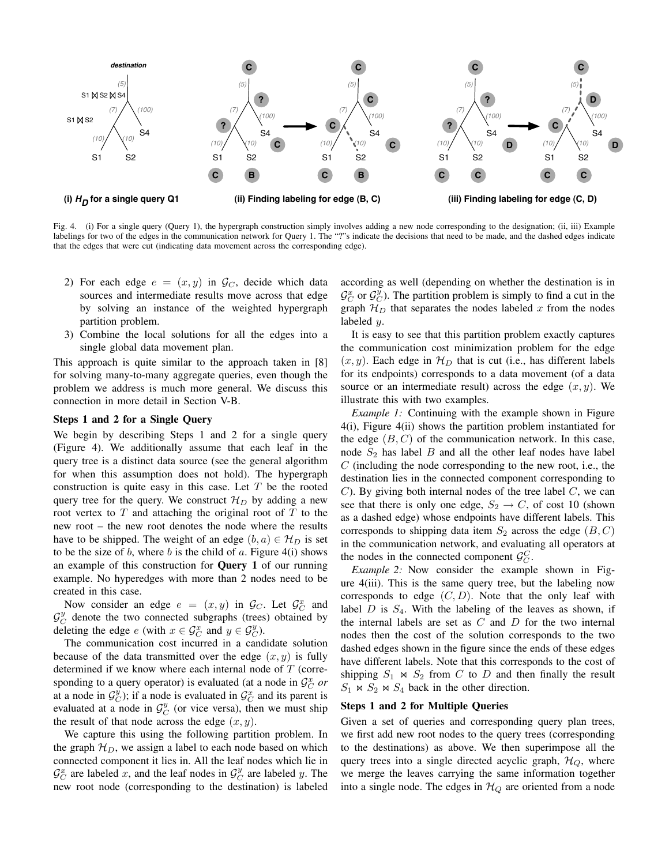

Fig. 4. (i) For a single query (Query 1), the hypergraph construction simply involves adding a new node corresponding to the designation; (ii, iii) Example labelings for two of the edges in the communication network for Query 1. The "?"s indicate the decisions that need to be made, and the dashed edges indicate that the edges that were cut (indicating data movement across the corresponding edge).

- 2) For each edge  $e = (x, y)$  in  $\mathcal{G}_C$ , decide which data sources and intermediate results move across that edge by solving an instance of the weighted hypergraph partition problem.
- 3) Combine the local solutions for all the edges into a single global data movement plan.

This approach is quite similar to the approach taken in [8] for solving many-to-many aggregate queries, even though the problem we address is much more general. We discuss this connection in more detail in Section V-B.

#### Steps 1 and 2 for a Single Query

We begin by describing Steps 1 and 2 for a single query (Figure 4). We additionally assume that each leaf in the query tree is a distinct data source (see the general algorithm for when this assumption does not hold). The hypergraph construction is quite easy in this case. Let  $T$  be the rooted query tree for the query. We construct  $\mathcal{H}_D$  by adding a new root vertex to  $T$  and attaching the original root of  $T$  to the new root – the new root denotes the node where the results have to be shipped. The weight of an edge  $(b, a) \in \mathcal{H}_D$  is set to be the size of  $b$ , where  $b$  is the child of  $a$ . Figure 4(i) shows an example of this construction for Query 1 of our running example. No hyperedges with more than 2 nodes need to be created in this case.

Now consider an edge  $e = (x, y)$  in  $\mathcal{G}_C$ . Let  $\mathcal{G}_C^x$  and  $\mathcal{G}_C^y$  denote the two connected subgraphs (trees) obtained by deleting the edge  $e$  (with  $x \in \mathcal{G}_C^x$  and  $y \in \mathcal{G}_C^y$ ).

The communication cost incurred in a candidate solution because of the data transmitted over the edge  $(x, y)$  is fully determined if we know where each internal node of T (corresponding to a query operator) is evaluated (at a node in  $\mathcal{G}_C^x$  or at a node in  $\mathcal{G}_{C}^{y}$ ); if a node is evaluated in  $\mathcal{G}_{C}^{x}$  and its parent is evaluated at a node in  $\mathcal{G}_C^y$  (or vice versa), then we must ship the result of that node across the edge  $(x, y)$ .

We capture this using the following partition problem. In the graph  $\mathcal{H}_D$ , we assign a label to each node based on which connected component it lies in. All the leaf nodes which lie in  $\mathcal{G}_{C}^{x}$  are labeled x, and the leaf nodes in  $\mathcal{G}_{C}^{y}$  are labeled y. The new root node (corresponding to the destination) is labeled

according as well (depending on whether the destination is in  $\mathcal{G}_C^x$  or  $\mathcal{G}_C^y$ ). The partition problem is simply to find a cut in the graph  $\mathcal{H}_D$  that separates the nodes labeled x from the nodes labeled y.

It is easy to see that this partition problem exactly captures the communication cost minimization problem for the edge  $(x, y)$ . Each edge in  $\mathcal{H}_D$  that is cut (i.e., has different labels for its endpoints) corresponds to a data movement (of a data source or an intermediate result) across the edge  $(x, y)$ . We illustrate this with two examples.

*Example 1:* Continuing with the example shown in Figure 4(i), Figure 4(ii) shows the partition problem instantiated for the edge  $(B, C)$  of the communication network. In this case, node  $S_2$  has label B and all the other leaf nodes have label  $C$  (including the node corresponding to the new root, i.e., the destination lies in the connected component corresponding to  $C$ ). By giving both internal nodes of the tree label  $C$ , we can see that there is only one edge,  $S_2 \rightarrow C$ , of cost 10 (shown as a dashed edge) whose endpoints have different labels. This corresponds to shipping data item  $S_2$  across the edge  $(B, C)$ in the communication network, and evaluating all operators at the nodes in the connected component  $\mathcal{G}_C^C$ .

*Example 2:* Now consider the example shown in Figure 4(iii). This is the same query tree, but the labeling now corresponds to edge  $(C, D)$ . Note that the only leaf with label  $D$  is  $S_4$ . With the labeling of the leaves as shown, if the internal labels are set as  $C$  and  $D$  for the two internal nodes then the cost of the solution corresponds to the two dashed edges shown in the figure since the ends of these edges have different labels. Note that this corresponds to the cost of shipping  $S_1 \Join S_2$  from C to D and then finally the result  $S_1 \Join S_2 \Join S_4$  back in the other direction.

# Steps 1 and 2 for Multiple Queries

Given a set of queries and corresponding query plan trees, we first add new root nodes to the query trees (corresponding to the destinations) as above. We then superimpose all the query trees into a single directed acyclic graph,  $\mathcal{H}_Q$ , where we merge the leaves carrying the same information together into a single node. The edges in  $\mathcal{H}_Q$  are oriented from a node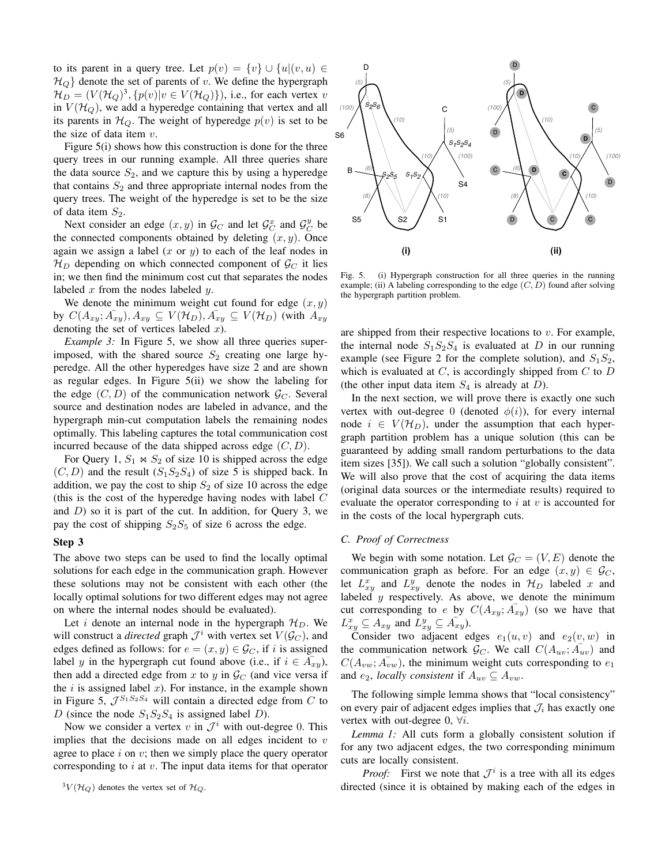to its parent in a query tree. Let  $p(v) = \{v\} \cup \{u|(v, u) \in$  $\mathcal{H}_{Q}$  denote the set of parents of v. We define the hypergraph  $\mathcal{H}_D = (V(\mathcal{H}_Q)^3, \{p(v)|v \in V(\mathcal{H}_Q)\}),$  i.e., for each vertex v in  $V(\mathcal{H}_Q)$ , we add a hyperedge containing that vertex and all its parents in  $\mathcal{H}_Q$ . The weight of hyperedge  $p(v)$  is set to be the size of data item  $v$ .

Figure 5(i) shows how this construction is done for the three query trees in our running example. All three queries share the data source  $S_2$ , and we capture this by using a hyperedge that contains  $S_2$  and three appropriate internal nodes from the query trees. The weight of the hyperedge is set to be the size of data item  $S_2$ .

Next consider an edge  $(x, y)$  in  $\mathcal{G}_C$  and let  $\mathcal{G}_C^x$  and  $\mathcal{G}_C^y$  be the connected components obtained by deleting  $(x, y)$ . Once again we assign a label  $(x \text{ or } y)$  to each of the leaf nodes in  $\mathcal{H}_D$  depending on which connected component of  $\mathcal{G}_C$  it lies in; we then find the minimum cost cut that separates the nodes labeled  $x$  from the nodes labeled  $y$ .

We denote the minimum weight cut found for edge  $(x, y)$ by  $C(A_{xy}; \overline{A}_{xy}), A_{xy} \subseteq V(\mathcal{H}_D), \overline{A}_{xy} \subseteq V(\mathcal{H}_D)$  (with  $\overline{A}_{xy}$ denoting the set of vertices labeled  $x$ ).

*Example 3:* In Figure 5, we show all three queries superimposed, with the shared source  $S_2$  creating one large hyperedge. All the other hyperedges have size 2 and are shown as regular edges. In Figure 5(ii) we show the labeling for the edge  $(C, D)$  of the communication network  $\mathcal{G}_C$ . Several source and destination nodes are labeled in advance, and the hypergraph min-cut computation labels the remaining nodes optimally. This labeling captures the total communication cost incurred because of the data shipped across edge  $(C, D)$ .

For Query 1,  $S_1 \Join S_2$  of size 10 is shipped across the edge  $(C, D)$  and the result  $(S_1S_2S_4)$  of size 5 is shipped back. In addition, we pay the cost to ship  $S_2$  of size 10 across the edge (this is the cost of the hyperedge having nodes with label C and  $D$ ) so it is part of the cut. In addition, for Query 3, we pay the cost of shipping  $S_2S_5$  of size 6 across the edge.

# Step 3

The above two steps can be used to find the locally optimal solutions for each edge in the communication graph. However these solutions may not be consistent with each other (the locally optimal solutions for two different edges may not agree on where the internal nodes should be evaluated).

Let i denote an internal node in the hypergraph  $\mathcal{H}_D$ . We will construct a *directed* graph  $\mathcal{J}^i$  with vertex set  $V(\mathcal{G}_C)$ , and edges defined as follows: for  $e = (x, y) \in \mathcal{G}_C$ , if i is assigned label y in the hypergraph cut found above (i.e., if  $i \in \overline{A}_{xy}$ ), then add a directed edge from  $x$  to  $y$  in  $\mathcal{G}_C$  (and vice versa if the  $i$  is assigned label  $x$ ). For instance, in the example shown in Figure 5,  $\mathcal{J}^{S_1 S_2 S_4}$  will contain a directed edge from C to D (since the node  $S_1S_2S_4$  is assigned label D).

Now we consider a vertex v in  $\mathcal{J}^i$  with out-degree 0. This implies that the decisions made on all edges incident to  $v$ agree to place  $i$  on  $v$ ; then we simply place the query operator corresponding to  $i$  at  $v$ . The input data items for that operator

 ${}^{3}V(\mathcal{H}_{Q})$  denotes the vertex set of  $\mathcal{H}_{Q}$ .



Fig. 5. (i) Hypergraph construction for all three queries in the running example; (ii) A labeling corresponding to the edge  $(C, D)$  found after solving the hypergraph partition problem.

are shipped from their respective locations to  $v$ . For example, the internal node  $S_1S_2S_4$  is evaluated at D in our running example (see Figure 2 for the complete solution), and  $S_1S_2$ , which is evaluated at  $C$ , is accordingly shipped from  $C$  to  $D$ (the other input data item  $S_4$  is already at D).

In the next section, we will prove there is exactly one such vertex with out-degree 0 (denoted  $\phi(i)$ ), for every internal node  $i \in V(\mathcal{H}_D)$ , under the assumption that each hypergraph partition problem has a unique solution (this can be guaranteed by adding small random perturbations to the data item sizes [35]). We call such a solution "globally consistent". We will also prove that the cost of acquiring the data items (original data sources or the intermediate results) required to evaluate the operator corresponding to  $i$  at  $v$  is accounted for in the costs of the local hypergraph cuts.

# *C. Proof of Correctness*

We begin with some notation. Let  $\mathcal{G}_C = (V, E)$  denote the communication graph as before. For an edge  $(x, y) \in \mathcal{G}_C$ , let  $L_{xy}^x$  and  $L_{xy}^y$  denote the nodes in  $\mathcal{H}_D$  labeled x and labeled  $y$  respectively. As above, we denote the minimum cut corresponding to e by  $C(A_{xy}; \overline{A}_{xy})$  (so we have that  $L_{xy}^x \subseteq A_{xy}$  and  $L_{xy}^y \subseteq A_{xy}$ .

Consider two adjacent edges  $e_1(u, v)$  and  $e_2(v, w)$  in the communication network  $\mathcal{G}_C$ . We call  $C(A_{uv}; \overline{A_{uv}})$  and  $C(A_{vw}; \overline{A_{vw}})$ , the minimum weight cuts corresponding to  $e_1$ and  $e_2$ , *locally consistent* if  $A_{uv} \subseteq A_{vw}$ .

The following simple lemma shows that "local consistency" on every pair of adjacent edges implies that  $\mathcal{J}_i$  has exactly one vertex with out-degree  $0, \forall i$ .

*Lemma 1:* All cuts form a globally consistent solution if for any two adjacent edges, the two corresponding minimum cuts are locally consistent.

*Proof:* First we note that  $\mathcal{J}^i$  is a tree with all its edges directed (since it is obtained by making each of the edges in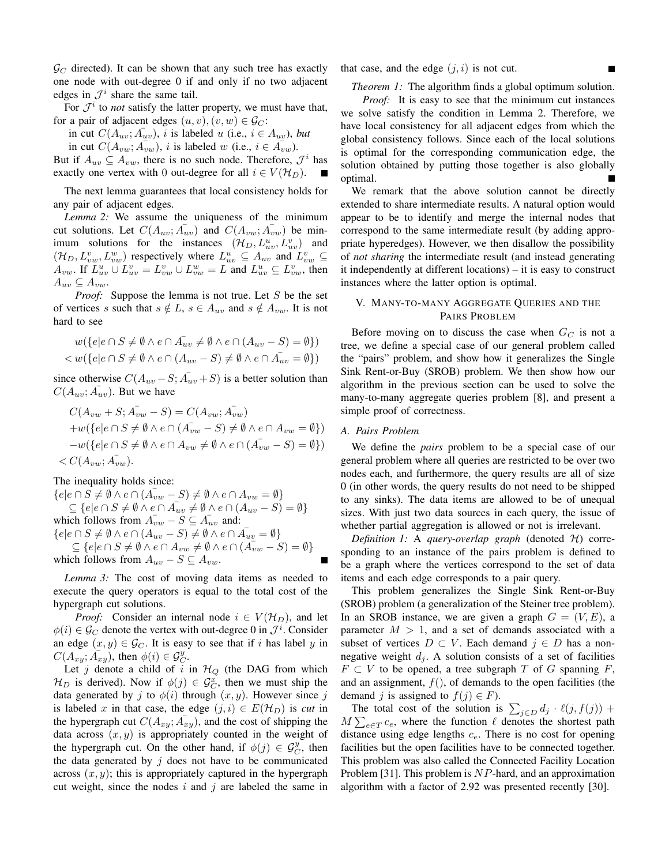$\mathcal{G}_C$  directed). It can be shown that any such tree has exactly one node with out-degree 0 if and only if no two adjacent edges in  $\mathcal{J}^i$  share the same tail.

For  $\mathcal{J}^i$  to *not* satisfy the latter property, we must have that, for a pair of adjacent edges  $(u, v), (v, w) \in \mathcal{G}_C$ :

in cut  $C(A_{uv}; \overline{A}_{uv})$ , *i* is labeled u (i.e.,  $i \in A_{uv}$ ), *but* 

in cut  $C(A_{vw}; A_{vw}^{\dagger}), i$  is labeled w (i.e.,  $i \in \overline{A_{vw}}$ ).

But if  $A_{uv} \subseteq A_{vw}$ , there is no such node. Therefore,  $\mathcal{J}^i$  has exactly one vertex with 0 out-degree for all  $i \in V(\mathcal{H}_D)$ .

The next lemma guarantees that local consistency holds for any pair of adjacent edges.

*Lemma 2:* We assume the uniqueness of the minimum cut solutions. Let  $C(A_{uv}; \overline{A}_{uv})$  and  $C(A_{vw}; \overline{A}_{vw})$  be minimum solutions for the instances  $(\mathcal{H}_D, L^u_{uv}, L^v_{uv})$  and  $(\mathcal{H}_D, L_{vw}^v, L_{vw}^w)$  respectively where  $L_{uv}^u \subseteq A_{uv}$  and  $L_{vw}^v \subseteq$  $A_{vw}$ . If  $L_{uv}^u \cup L_{uv}^v = L_{vw}^v \cup L_{vw}^w = L$  and  $L_{uv}^u \subseteq L_{vw}^v$ , then  $A_{uv} \subseteq A_{vw}$ .

*Proof:* Suppose the lemma is not true. Let S be the set of vertices s such that  $s \notin L$ ,  $s \in A_{uv}$  and  $s \notin A_{vw}$ . It is not hard to see

$$
w({e|e \cap S \neq \emptyset \land e \cap A_{uv} \neq \emptyset \land e \cap (A_{uv} - S) = \emptyset})
$$
  

$$
\langle w({e|e \cap S \neq \emptyset \land e \cap (A_{uv} - S) \neq \emptyset \land e \cap A_{uv} = \emptyset})
$$

since otherwise  $C(A_{uv} - S; \overline{A}_{uv} + S)$  is a better solution than  $C(A_{uv}; \overline{A}_{uv})$ . But we have

$$
C(A_{vw} + S; A_{vw} - S) = C(A_{vw}; A_{vw})
$$
  
+
$$
w({e|e \cap S \neq \emptyset \land e \cap (A_{vw} - S) \neq \emptyset \land e \cap A_{vw} = \emptyset})
$$
  
-
$$
-w({e|e \cap S \neq \emptyset \land e \cap A_{vw} \neq \emptyset \land e \cap (A_{vw} - S) = \emptyset})
$$
  
< 
$$
< C(A_{vw}; A_{vw}^{-}).
$$

The inequality holds since:

 ${e|e \cap S \neq \emptyset \land e \cap (\bar{A_{vw}} - S) \neq \emptyset \land e \cap A_{vw} = \emptyset}$  $\subseteq \{e | e \cap S \neq \emptyset \wedge e \cap \overline{A_{uv}} \neq \emptyset \wedge e \cap (A_{uv} - S) = \emptyset \}$ which follows from  $A_{vw}^- - S \subseteq A_{uv}^-$  and:  ${e|e \cap S \neq \emptyset \land e \cap (A_{uv} - S) \neq \emptyset \land e \cap A_{uv} = \emptyset}$  $\subseteq \{e|e \cap S \neq \emptyset \wedge e \cap A_{vw} \neq \emptyset \wedge e \cap (\overline{A}_{vw} - S) = \emptyset\}$ which follows from  $A_{uv} - S \subseteq A_{vw}$ .

*Lemma 3:* The cost of moving data items as needed to execute the query operators is equal to the total cost of the hypergraph cut solutions.

*Proof:* Consider an internal node  $i \in V(\mathcal{H}_D)$ , and let  $\phi(i) \in \mathcal{G}_C$  denote the vertex with out-degree 0 in  $\mathcal{J}^i$ . Consider an edge  $(x, y) \in \mathcal{G}_C$ . It is easy to see that if i has label y in  $C(A_{xy}; \overrightarrow{A_{xy}})$ , then  $\phi(i) \in \mathcal{G}_C^y$ .

Let j denote a child of i in  $H_Q$  (the DAG from which  $\mathcal{H}_D$  is derived). Now if  $\phi(j) \in \mathcal{G}_C^x$ , then we must ship the data generated by j to  $\phi(i)$  through  $(x, y)$ . However since j is labeled x in that case, the edge  $(j, i) \in E(\mathcal{H}_D)$  is *cut* in the hypergraph cut  $C(A_{xy}; \overline{A}_{xy})$ , and the cost of shipping the data across  $(x, y)$  is appropriately counted in the weight of the hypergraph cut. On the other hand, if  $\phi(j) \in \mathcal{G}_C^y$ , then the data generated by  $j$  does not have to be communicated across  $(x, y)$ ; this is appropriately captured in the hypergraph cut weight, since the nodes  $i$  and  $j$  are labeled the same in that case, and the edge  $(i, i)$  is not cut.

*Theorem 1:* The algorithm finds a global optimum solution.

*Proof:* It is easy to see that the minimum cut instances we solve satisfy the condition in Lemma 2. Therefore, we have local consistency for all adjacent edges from which the global consistency follows. Since each of the local solutions is optimal for the corresponding communication edge, the solution obtained by putting those together is also globally optimal.

We remark that the above solution cannot be directly extended to share intermediate results. A natural option would appear to be to identify and merge the internal nodes that correspond to the same intermediate result (by adding appropriate hyperedges). However, we then disallow the possibility of *not sharing* the intermediate result (and instead generating it independently at different locations) – it is easy to construct instances where the latter option is optimal.

## V. MANY-TO-MANY AGGREGATE QUERIES AND THE PAIRS PROBLEM

Before moving on to discuss the case when  $G_C$  is not a tree, we define a special case of our general problem called the "pairs" problem, and show how it generalizes the Single Sink Rent-or-Buy (SROB) problem. We then show how our algorithm in the previous section can be used to solve the many-to-many aggregate queries problem [8], and present a simple proof of correctness.

# *A. Pairs Problem*

We define the *pairs* problem to be a special case of our general problem where all queries are restricted to be over two nodes each, and furthermore, the query results are all of size 0 (in other words, the query results do not need to be shipped to any sinks). The data items are allowed to be of unequal sizes. With just two data sources in each query, the issue of whether partial aggregation is allowed or not is irrelevant.

*Definition 1:* A *query-overlap graph* (denoted H) corresponding to an instance of the pairs problem is defined to be a graph where the vertices correspond to the set of data items and each edge corresponds to a pair query.

This problem generalizes the Single Sink Rent-or-Buy (SROB) problem (a generalization of the Steiner tree problem). In an SROB instance, we are given a graph  $G = (V, E)$ , a parameter  $M > 1$ , and a set of demands associated with a subset of vertices  $D \subset V$ . Each demand  $j \in D$  has a nonnegative weight  $d_i$ . A solution consists of a set of facilities  $F \subset V$  to be opened, a tree subgraph T of G spanning F, and an assignment,  $f(.)$ , of demands to the open facilities (the demand j is assigned to  $f(j) \in F$ ).

The total cost of the solution is  $\sum_{j \in D} d_j \cdot \ell(j, f(j))$  +  $M \sum_{e \in T} c_e$ , where the function  $\ell$  denotes the shortest path distance using edge lengths  $c_e$ . There is no cost for opening facilities but the open facilities have to be connected together. This problem was also called the Connected Facility Location Problem [31]. This problem is NP-hard, and an approximation algorithm with a factor of 2.92 was presented recently [30].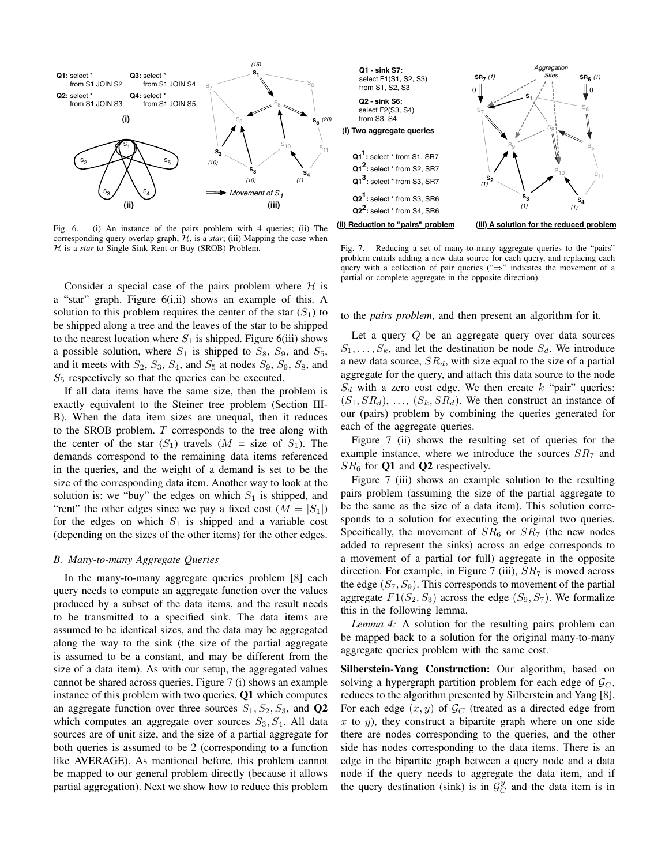

Fig. 6. (i) An instance of the pairs problem with 4 queries; (ii) The corresponding query overlap graph,  $H$ , is a *star*; (iii) Mapping the case when H is a *star* to Single Sink Rent-or-Buy (SROB) Problem.

Consider a special case of the pairs problem where  $H$  is a "star" graph. Figure 6(i,ii) shows an example of this. A solution to this problem requires the center of the star  $(S_1)$  to be shipped along a tree and the leaves of the star to be shipped to the nearest location where  $S_1$  is shipped. Figure 6(iii) shows a possible solution, where  $S_1$  is shipped to  $S_8$ ,  $S_9$ , and  $S_5$ , and it meets with  $S_2$ ,  $S_3$ ,  $S_4$ , and  $S_5$  at nodes  $S_9$ ,  $S_9$ ,  $S_8$ , and  $S<sub>5</sub>$  respectively so that the queries can be executed.

If all data items have the same size, then the problem is exactly equivalent to the Steiner tree problem (Section III-B). When the data item sizes are unequal, then it reduces to the SROB problem.  $T$  corresponds to the tree along with the center of the star  $(S_1)$  travels  $(M = \text{size of } S_1)$ . The demands correspond to the remaining data items referenced in the queries, and the weight of a demand is set to be the size of the corresponding data item. Another way to look at the solution is: we "buy" the edges on which  $S_1$  is shipped, and "rent" the other edges since we pay a fixed cost  $(M = |S_1|)$ for the edges on which  $S_1$  is shipped and a variable cost (depending on the sizes of the other items) for the other edges.

## *B. Many-to-many Aggregate Queries*

In the many-to-many aggregate queries problem [8] each query needs to compute an aggregate function over the values produced by a subset of the data items, and the result needs to be transmitted to a specified sink. The data items are assumed to be identical sizes, and the data may be aggregated along the way to the sink (the size of the partial aggregate is assumed to be a constant, and may be different from the size of a data item). As with our setup, the aggregated values cannot be shared across queries. Figure 7 (i) shows an example instance of this problem with two queries, Q1 which computes an aggregate function over three sources  $S_1, S_2, S_3$ , and  $\mathbf{Q2}$ which computes an aggregate over sources  $S_3, S_4$ . All data sources are of unit size, and the size of a partial aggregate for both queries is assumed to be 2 (corresponding to a function like AVERAGE). As mentioned before, this problem cannot be mapped to our general problem directly (because it allows partial aggregation). Next we show how to reduce this problem

Fig. 7. Reducing a set of many-to-many aggregate queries to the "pairs" problem entails adding a new data source for each query, and replacing each query with a collection of pair queries ("⇒" indicates the movement of a partial or complete aggregate in the opposite direction).

to the *pairs problem*, and then present an algorithm for it.

Let a query  $Q$  be an aggregate query over data sources  $S_1, \ldots, S_k$ , and let the destination be node  $S_d$ . We introduce a new data source,  $SR<sub>d</sub>$ , with size equal to the size of a partial aggregate for the query, and attach this data source to the node  $S_d$  with a zero cost edge. We then create k "pair" queries:  $(S_1, SR_d), \ldots, (S_k, SR_d)$ . We then construct an instance of our (pairs) problem by combining the queries generated for each of the aggregate queries.

Figure 7 (ii) shows the resulting set of queries for the example instance, where we introduce the sources  $SR<sub>7</sub>$  and  $SR_6$  for **Q1** and **Q2** respectively.

Figure 7 (iii) shows an example solution to the resulting pairs problem (assuming the size of the partial aggregate to be the same as the size of a data item). This solution corresponds to a solution for executing the original two queries. Specifically, the movement of  $SR_6$  or  $SR_7$  (the new nodes added to represent the sinks) across an edge corresponds to a movement of a partial (or full) aggregate in the opposite direction. For example, in Figure 7 (iii),  $SR<sub>7</sub>$  is moved across the edge  $(S_7, S_9)$ . This corresponds to movement of the partial aggregate  $F1(S_2, S_3)$  across the edge  $(S_9, S_7)$ . We formalize this in the following lemma.

*Lemma 4:* A solution for the resulting pairs problem can be mapped back to a solution for the original many-to-many aggregate queries problem with the same cost.

Silberstein-Yang Construction: Our algorithm, based on solving a hypergraph partition problem for each edge of  $\mathcal{G}_C$ , reduces to the algorithm presented by Silberstein and Yang [8]. For each edge  $(x, y)$  of  $\mathcal{G}_C$  (treated as a directed edge from  $x$  to  $y$ ), they construct a bipartite graph where on one side there are nodes corresponding to the queries, and the other side has nodes corresponding to the data items. There is an edge in the bipartite graph between a query node and a data node if the query needs to aggregate the data item, and if the query destination (sink) is in  $\mathcal{G}_{C}^{y}$  and the data item is in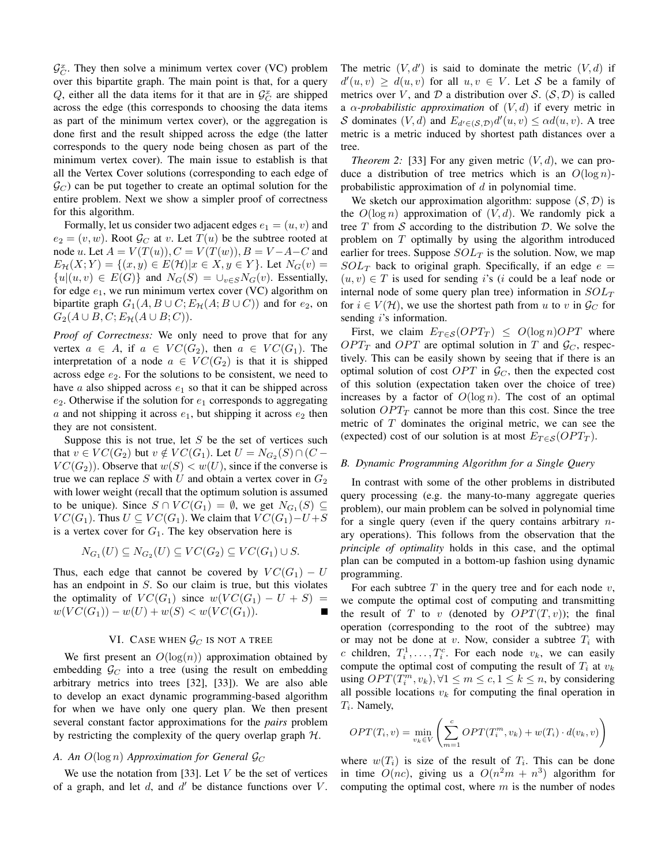$\mathcal{G}_{C}^{x}$ . They then solve a minimum vertex cover (VC) problem over this bipartite graph. The main point is that, for a query Q, either all the data items for it that are in  $\mathcal{G}_C^x$  are shipped across the edge (this corresponds to choosing the data items as part of the minimum vertex cover), or the aggregation is done first and the result shipped across the edge (the latter corresponds to the query node being chosen as part of the minimum vertex cover). The main issue to establish is that all the Vertex Cover solutions (corresponding to each edge of  $\mathcal{G}_C$  can be put together to create an optimal solution for the entire problem. Next we show a simpler proof of correctness for this algorithm.

Formally, let us consider two adjacent edges  $e_1 = (u, v)$  and  $e_2 = (v, w)$ . Root  $\mathcal{G}_C$  at v. Let  $T(u)$  be the subtree rooted at node u. Let  $A = V(T(u)), C = V(T(w)), B = V - A - C$  and  $E_{\mathcal{H}}(X;Y) = \{(x,y) \in E(\mathcal{H}) | x \in X, y \in Y\}$ . Let  $N_G(v) =$  ${u|(u, v) \in E(G)}$  and  $N_G(S) = \bigcup_{v \in S} N_G(v)$ . Essentially, for edge  $e_1$ , we run minimum vertex cover (VC) algorithm on bipartite graph  $G_1(A, B \cup C; E_{\mathcal{H}}(A; B \cup C))$  and for  $e_2$ , on  $G_2(A\cup B, C; E_{\mathcal{H}}(A\cup B; C)).$ 

*Proof of Correctness:* We only need to prove that for any vertex  $a \in A$ , if  $a \in VC(G_2)$ , then  $a \in VC(G_1)$ . The interpretation of a node  $a \in VC(G_2)$  is that it is shipped across edge  $e_2$ . For the solutions to be consistent, we need to have  $a$  also shipped across  $e_1$  so that it can be shipped across  $e_2$ . Otherwise if the solution for  $e_1$  corresponds to aggregating  $a$  and not shipping it across  $e_1$ , but shipping it across  $e_2$  then they are not consistent.

Suppose this is not true, let  $S$  be the set of vertices such that  $v \in VC(G_2)$  but  $v \notin VC(G_1)$ . Let  $U = N_{G_2}(S) \cap (C VC(G_2)$ ). Observe that  $w(S) < w(U)$ , since if the converse is true we can replace S with U and obtain a vertex cover in  $G_2$ with lower weight (recall that the optimum solution is assumed to be unique). Since  $S \cap VC(G_1) = \emptyset$ , we get  $N_{G_1}(S) \subseteq$  $VC(G_1)$ . Thus  $U \subseteq VC(G_1)$ . We claim that  $VC(G_1)-U+S$ is a vertex cover for  $G_1$ . The key observation here is

$$
N_{G_1}(U) \subseteq N_{G_2}(U) \subseteq VC(G_2) \subseteq VC(G_1) \cup S.
$$

Thus, each edge that cannot be covered by  $VC(G_1) - U$ has an endpoint in S. So our claim is true, but this violates the optimality of  $VC(G_1)$  since  $w(VC(G_1) - U + S) =$  $w(V C(G_1)) - w(U) + w(S) < w(V C(G_1)).$ 

# VI. CASE WHEN  $\mathcal{G}_C$  is not a tree

We first present an  $O(log(n))$  approximation obtained by embedding  $\mathcal{G}_C$  into a tree (using the result on embedding arbitrary metrics into trees [32], [33]). We are also able to develop an exact dynamic programming-based algorithm for when we have only one query plan. We then present several constant factor approximations for the *pairs* problem by restricting the complexity of the query overlap graph  $H$ .

# *A. An*  $O(\log n)$  *Approximation for General*  $\mathcal{G}_C$

We use the notation from [33]. Let  $V$  be the set of vertices of a graph, and let  $d$ , and  $d'$  be distance functions over  $V$ .

The metric  $(V, d')$  is said to dominate the metric  $(V, d)$  if  $d'(u, v) \geq d(u, v)$  for all  $u, v \in V$ . Let S be a family of metrics over V, and D a distribution over S.  $(S, D)$  is called a  $\alpha$ -probabilistic approximation of  $(V, d)$  if every metric in S dominates  $(V, d)$  and  $E_{d' \in (S, \mathcal{D})} d'(u, v) \leq \alpha d(u, v)$ . A tree metric is a metric induced by shortest path distances over a tree.

*Theorem 2:* [33] For any given metric  $(V, d)$ , we can produce a distribution of tree metrics which is an  $O(\log n)$ probabilistic approximation of  $d$  in polynomial time.

We sketch our approximation algorithm: suppose  $(S, \mathcal{D})$  is the  $O(\log n)$  approximation of  $(V, d)$ . We randomly pick a tree  $T$  from  $S$  according to the distribution  $D$ . We solve the problem on T optimally by using the algorithm introduced earlier for trees. Suppose  $SOL_T$  is the solution. Now, we map  $SOL_T$  back to original graph. Specifically, if an edge  $e =$  $(u, v) \in T$  is used for sending i's (i could be a leaf node or internal node of some query plan tree) information in  $SOL_T$ for  $i \in V(\mathcal{H})$ , we use the shortest path from u to v in  $\mathcal{G}_C$  for sending i's information.

First, we claim  $E_{T \in S}(OPT_T) \leq O(\log n)OPT$  where  $OPT_T$  and  $OPT$  are optimal solution in T and  $\mathcal{G}_C$ , respectively. This can be easily shown by seeing that if there is an optimal solution of cost  $OPT$  in  $\mathcal{G}_C$ , then the expected cost of this solution (expectation taken over the choice of tree) increases by a factor of  $O(\log n)$ . The cost of an optimal solution  $OPT_T$  cannot be more than this cost. Since the tree metric of  $T$  dominates the original metric, we can see the (expected) cost of our solution is at most  $E_{T \in S}(OPT_T)$ .

#### *B. Dynamic Programming Algorithm for a Single Query*

In contrast with some of the other problems in distributed query processing (e.g. the many-to-many aggregate queries problem), our main problem can be solved in polynomial time for a single query (even if the query contains arbitrary  $n$ ary operations). This follows from the observation that the *principle of optimality* holds in this case, and the optimal plan can be computed in a bottom-up fashion using dynamic programming.

For each subtree  $T$  in the query tree and for each node  $v$ , we compute the optimal cost of computing and transmitting the result of T to v (denoted by  $OPT(T, v)$ ); the final operation (corresponding to the root of the subtree) may or may not be done at v. Now, consider a subtree  $T_i$  with c children,  $T_i^1, \ldots, T_i^c$ . For each node  $v_k$ , we can easily compute the optimal cost of computing the result of  $T_i$  at  $v_k$ using  $OPT(T_i^m, v_k), \forall 1 \leq m \leq c, 1 \leq k \leq n$ , by considering all possible locations  $v_k$  for computing the final operation in  $T_i$ . Namely,

$$
OPT(T_i, v) = \min_{v_k \in V} \left( \sum_{m=1}^c OPT(T_i^m, v_k) + w(T_i) \cdot d(v_k, v) \right)
$$

where  $w(T_i)$  is size of the result of  $T_i$ . This can be done in time  $O(nc)$ , giving us a  $O(n^2m + n^3)$  algorithm for computing the optimal cost, where  $m$  is the number of nodes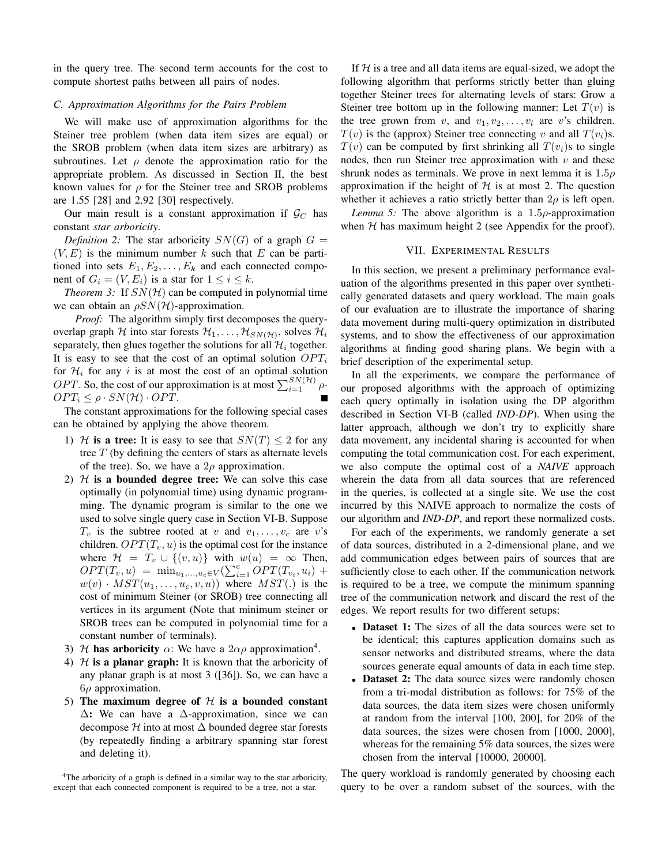in the query tree. The second term accounts for the cost to compute shortest paths between all pairs of nodes.

#### *C. Approximation Algorithms for the Pairs Problem*

We will make use of approximation algorithms for the Steiner tree problem (when data item sizes are equal) or the SROB problem (when data item sizes are arbitrary) as subroutines. Let  $\rho$  denote the approximation ratio for the appropriate problem. As discussed in Section II, the best known values for  $\rho$  for the Steiner tree and SROB problems are 1.55 [28] and 2.92 [30] respectively.

Our main result is a constant approximation if  $\mathcal{G}_C$  has constant *star arboricity*.

*Definition 2:* The star arboricity  $SN(G)$  of a graph  $G =$  $(V, E)$  is the minimum number k such that E can be partitioned into sets  $E_1, E_2, \ldots, E_k$  and each connected component of  $G_i = (V, E_i)$  is a star for  $1 \le i \le k$ .

*Theorem 3:* If  $SN(\mathcal{H})$  can be computed in polynomial time we can obtain an  $\rho SN(\mathcal{H})$ -approximation.

*Proof:* The algorithm simply first decomposes the queryoverlap graph H into star forests  $\mathcal{H}_1, \ldots, \mathcal{H}_{SN(\mathcal{H})}$ , solves  $\mathcal{H}_i$ separately, then glues together the solutions for all  $\mathcal{H}_i$  together. It is easy to see that the cost of an optimal solution  $OPT_i$ for  $\mathcal{H}_i$  for any i is at most the cost of an optimal solution *OPT*. So, the cost of our approximation is at most  $\sum_{i=1}^{SN(H)} \rho$ .  $OPT_i \leq \rho \cdot SN(\mathcal{H}) \cdot OPT$ .

The constant approximations for the following special cases can be obtained by applying the above theorem.

- 1) H is a tree: It is easy to see that  $SN(T) \leq 2$  for any tree  $T$  (by defining the centers of stars as alternate levels of the tree). So, we have a  $2\rho$  approximation.
- 2)  $H$  is a bounded degree tree: We can solve this case optimally (in polynomial time) using dynamic programming. The dynamic program is similar to the one we used to solve single query case in Section VI-B. Suppose  $T_v$  is the subtree rooted at v and  $v_1, \ldots, v_c$  are v's children.  $OPT(T_v, u)$  is the optimal cost for the instance where  $\mathcal{H} = T_v \cup \{(v, u)\}\$  with  $w(u) = \infty$  Then,  $OPT(T_v, u) = \min_{u_1, ..., u_c \in V} (\sum_{i=1}^c OPT(T_{v_i}, u_i) +$  $w(v) \cdot MST(u_1, \ldots, u_c, v, u)$  where  $MST(.)$  is the cost of minimum Steiner (or SROB) tree connecting all vertices in its argument (Note that minimum steiner or SROB trees can be computed in polynomial time for a constant number of terminals).
- 3) H has arboricity  $\alpha$ : We have a  $2\alpha\rho$  approximation<sup>4</sup>.
- 4)  $H$  is a planar graph: It is known that the arboricity of any planar graph is at most 3 ([36]). So, we can have a  $6\rho$  approximation.
- 5) The maximum degree of  $H$  is a bounded constant  $\Delta$ : We can have a  $\Delta$ -approximation, since we can decompose  $H$  into at most  $\Delta$  bounded degree star forests (by repeatedly finding a arbitrary spanning star forest and deleting it).

<sup>4</sup>The arboricity of a graph is defined in a similar way to the star arboricity, except that each connected component is required to be a tree, not a star.

If  $H$  is a tree and all data items are equal-sized, we adopt the following algorithm that performs strictly better than gluing together Steiner trees for alternating levels of stars: Grow a Steiner tree bottom up in the following manner: Let  $T(v)$  is the tree grown from v, and  $v_1, v_2, \ldots, v_l$  are v's children.  $T(v)$  is the (approx) Steiner tree connecting v and all  $T(v_i)$ s.  $T(v)$  can be computed by first shrinking all  $T(v_i)$ s to single nodes, then run Steiner tree approximation with  $v$  and these shrunk nodes as terminals. We prove in next lemma it is  $1.5\rho$ approximation if the height of  $H$  is at most 2. The question whether it achieves a ratio strictly better than  $2\rho$  is left open.

*Lemma 5:* The above algorithm is a  $1.5\rho$ -approximation when  $H$  has maximum height 2 (see Appendix for the proof).

#### VII. EXPERIMENTAL RESULTS

In this section, we present a preliminary performance evaluation of the algorithms presented in this paper over synthetically generated datasets and query workload. The main goals of our evaluation are to illustrate the importance of sharing data movement during multi-query optimization in distributed systems, and to show the effectiveness of our approximation algorithms at finding good sharing plans. We begin with a brief description of the experimental setup.

In all the experiments, we compare the performance of our proposed algorithms with the approach of optimizing each query optimally in isolation using the DP algorithm described in Section VI-B (called *IND-DP*). When using the latter approach, although we don't try to explicitly share data movement, any incidental sharing is accounted for when computing the total communication cost. For each experiment, we also compute the optimal cost of a *NAIVE* approach wherein the data from all data sources that are referenced in the queries, is collected at a single site. We use the cost incurred by this NAIVE approach to normalize the costs of our algorithm and *IND-DP*, and report these normalized costs.

For each of the experiments, we randomly generate a set of data sources, distributed in a 2-dimensional plane, and we add communication edges between pairs of sources that are sufficiently close to each other. If the communication network is required to be a tree, we compute the minimum spanning tree of the communication network and discard the rest of the edges. We report results for two different setups:

- Dataset 1: The sizes of all the data sources were set to be identical; this captures application domains such as sensor networks and distributed streams, where the data sources generate equal amounts of data in each time step.
- Dataset 2: The data source sizes were randomly chosen from a tri-modal distribution as follows: for 75% of the data sources, the data item sizes were chosen uniformly at random from the interval [100, 200], for 20% of the data sources, the sizes were chosen from [1000, 2000], whereas for the remaining 5% data sources, the sizes were chosen from the interval [10000, 20000].

The query workload is randomly generated by choosing each query to be over a random subset of the sources, with the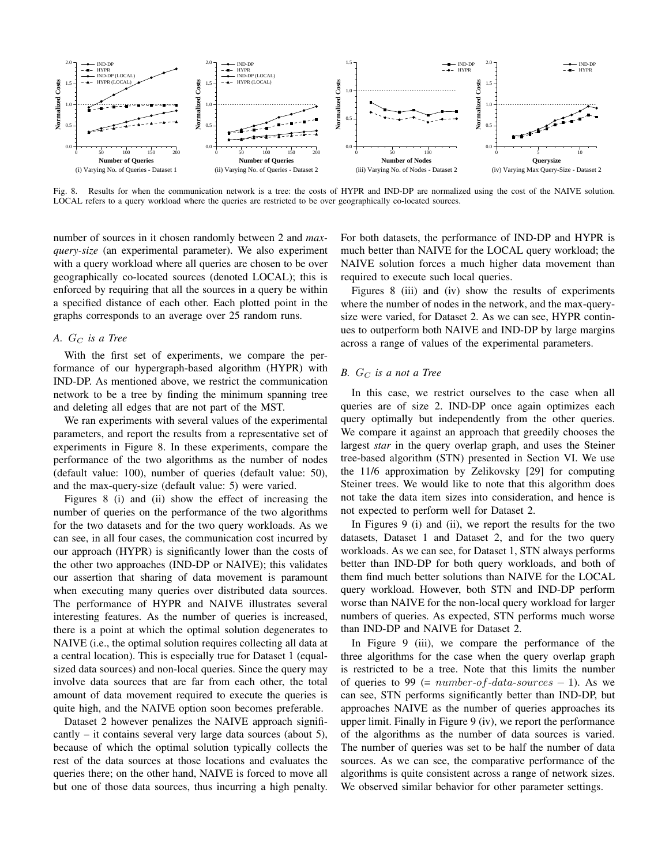

Fig. 8. Results for when the communication network is a tree: the costs of HYPR and IND-DP are normalized using the cost of the NAIVE solution. LOCAL refers to a query workload where the queries are restricted to be over geographically co-located sources.

number of sources in it chosen randomly between 2 and *maxquery-size* (an experimental parameter). We also experiment with a query workload where all queries are chosen to be over geographically co-located sources (denoted LOCAL); this is enforced by requiring that all the sources in a query be within a specified distance of each other. Each plotted point in the graphs corresponds to an average over 25 random runs.

## *A.* G<sup>C</sup> *is a Tree*

With the first set of experiments, we compare the performance of our hypergraph-based algorithm (HYPR) with IND-DP. As mentioned above, we restrict the communication network to be a tree by finding the minimum spanning tree and deleting all edges that are not part of the MST.

We ran experiments with several values of the experimental parameters, and report the results from a representative set of experiments in Figure 8. In these experiments, compare the performance of the two algorithms as the number of nodes (default value: 100), number of queries (default value: 50), and the max-query-size (default value: 5) were varied.

Figures 8 (i) and (ii) show the effect of increasing the number of queries on the performance of the two algorithms for the two datasets and for the two query workloads. As we can see, in all four cases, the communication cost incurred by our approach (HYPR) is significantly lower than the costs of the other two approaches (IND-DP or NAIVE); this validates our assertion that sharing of data movement is paramount when executing many queries over distributed data sources. The performance of HYPR and NAIVE illustrates several interesting features. As the number of queries is increased, there is a point at which the optimal solution degenerates to NAIVE (i.e., the optimal solution requires collecting all data at a central location). This is especially true for Dataset 1 (equalsized data sources) and non-local queries. Since the query may involve data sources that are far from each other, the total amount of data movement required to execute the queries is quite high, and the NAIVE option soon becomes preferable.

Dataset 2 however penalizes the NAIVE approach significantly – it contains several very large data sources (about 5), because of which the optimal solution typically collects the rest of the data sources at those locations and evaluates the queries there; on the other hand, NAIVE is forced to move all but one of those data sources, thus incurring a high penalty. For both datasets, the performance of IND-DP and HYPR is much better than NAIVE for the LOCAL query workload; the NAIVE solution forces a much higher data movement than required to execute such local queries.

Figures 8 (iii) and (iv) show the results of experiments where the number of nodes in the network, and the max-querysize were varied, for Dataset 2. As we can see, HYPR continues to outperform both NAIVE and IND-DP by large margins across a range of values of the experimental parameters.

# *B.* G<sup>C</sup> *is a not a Tree*

In this case, we restrict ourselves to the case when all queries are of size 2. IND-DP once again optimizes each query optimally but independently from the other queries. We compare it against an approach that greedily chooses the largest *star* in the query overlap graph, and uses the Steiner tree-based algorithm (STN) presented in Section VI. We use the 11/6 approximation by Zelikovsky [29] for computing Steiner trees. We would like to note that this algorithm does not take the data item sizes into consideration, and hence is not expected to perform well for Dataset 2.

In Figures 9 (i) and (ii), we report the results for the two datasets, Dataset 1 and Dataset 2, and for the two query workloads. As we can see, for Dataset 1, STN always performs better than IND-DP for both query workloads, and both of them find much better solutions than NAIVE for the LOCAL query workload. However, both STN and IND-DP perform worse than NAIVE for the non-local query workload for larger numbers of queries. As expected, STN performs much worse than IND-DP and NAIVE for Dataset 2.

In Figure 9 (iii), we compare the performance of the three algorithms for the case when the query overlap graph is restricted to be a tree. Note that this limits the number of queries to 99 (=  $number-of-data-sources - 1$ ). As we can see, STN performs significantly better than IND-DP, but approaches NAIVE as the number of queries approaches its upper limit. Finally in Figure 9 (iv), we report the performance of the algorithms as the number of data sources is varied. The number of queries was set to be half the number of data sources. As we can see, the comparative performance of the algorithms is quite consistent across a range of network sizes. We observed similar behavior for other parameter settings.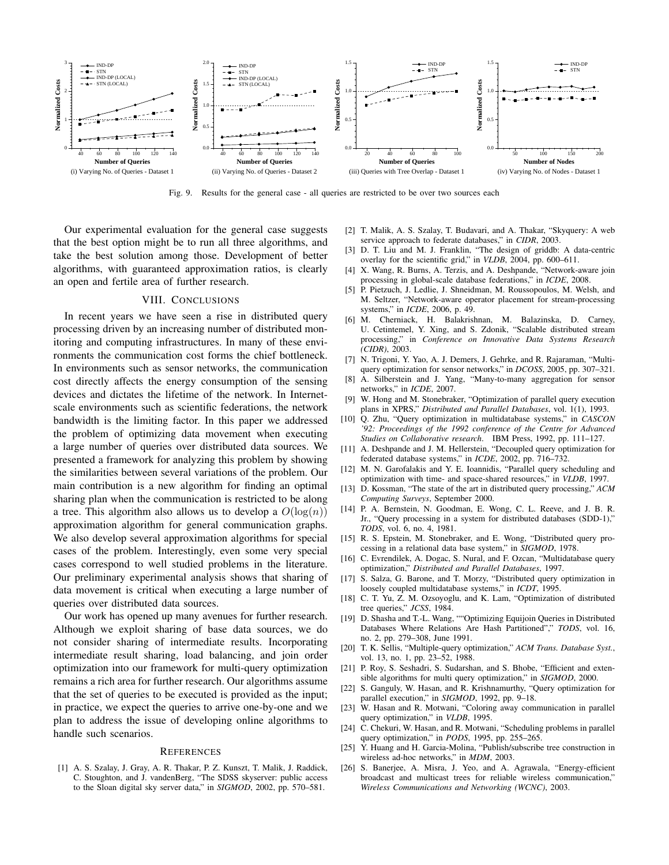

Fig. 9. Results for the general case - all queries are restricted to be over two sources each

Our experimental evaluation for the general case suggests that the best option might be to run all three algorithms, and take the best solution among those. Development of better algorithms, with guaranteed approximation ratios, is clearly an open and fertile area of further research.

#### VIII. CONCLUSIONS

In recent years we have seen a rise in distributed query processing driven by an increasing number of distributed monitoring and computing infrastructures. In many of these environments the communication cost forms the chief bottleneck. In environments such as sensor networks, the communication cost directly affects the energy consumption of the sensing devices and dictates the lifetime of the network. In Internetscale environments such as scientific federations, the network bandwidth is the limiting factor. In this paper we addressed the problem of optimizing data movement when executing a large number of queries over distributed data sources. We presented a framework for analyzing this problem by showing the similarities between several variations of the problem. Our main contribution is a new algorithm for finding an optimal sharing plan when the communication is restricted to be along a tree. This algorithm also allows us to develop a  $O(\log(n))$ approximation algorithm for general communication graphs. We also develop several approximation algorithms for special cases of the problem. Interestingly, even some very special cases correspond to well studied problems in the literature. Our preliminary experimental analysis shows that sharing of data movement is critical when executing a large number of queries over distributed data sources.

Our work has opened up many avenues for further research. Although we exploit sharing of base data sources, we do not consider sharing of intermediate results. Incorporating intermediate result sharing, load balancing, and join order optimization into our framework for multi-query optimization remains a rich area for further research. Our algorithms assume that the set of queries to be executed is provided as the input; in practice, we expect the queries to arrive one-by-one and we plan to address the issue of developing online algorithms to handle such scenarios.

#### **REFERENCES**

[1] A. S. Szalay, J. Gray, A. R. Thakar, P. Z. Kunszt, T. Malik, J. Raddick, C. Stoughton, and J. vandenBerg, "The SDSS skyserver: public access to the Sloan digital sky server data," in *SIGMOD*, 2002, pp. 570–581.

- [2] T. Malik, A. S. Szalay, T. Budavari, and A. Thakar, "Skyquery: A web service approach to federate databases," in *CIDR*, 2003.
- [3] D. T. Liu and M. J. Franklin, "The design of griddb: A data-centric overlay for the scientific grid," in *VLDB*, 2004, pp. 600–611.
- [4] X. Wang, R. Burns, A. Terzis, and A. Deshpande, "Network-aware join processing in global-scale database federations," in *ICDE*, 2008.
- [5] P. Pietzuch, J. Ledlie, J. Shneidman, M. Roussopoulos, M. Welsh, and M. Seltzer, "Network-aware operator placement for stream-processing systems," in *ICDE*, 2006, p. 49.
- [6] M. Cherniack, H. Balakrishnan, M. Balazinska, D. Carney, U. Cetintemel, Y. Xing, and S. Zdonik, "Scalable distributed stream processing," in *Conference on Innovative Data Systems Research (CIDR)*, 2003.
- [7] N. Trigoni, Y. Yao, A. J. Demers, J. Gehrke, and R. Rajaraman, "Multiquery optimization for sensor networks," in *DCOSS*, 2005, pp. 307–321.
- [8] A. Silberstein and J. Yang, "Many-to-many aggregation for sensor networks," in *ICDE*, 2007.
- [9] W. Hong and M. Stonebraker, "Optimization of parallel query execution plans in XPRS," *Distributed and Parallel Databases*, vol. 1(1), 1993.
- [10] Q. Zhu, "Query optimization in multidatabase systems," in *CASCON '92: Proceedings of the 1992 conference of the Centre for Advanced Studies on Collaborative research*. IBM Press, 1992, pp. 111–127.
- [11] A. Deshpande and J. M. Hellerstein, "Decoupled query optimization for federated database systems," in *ICDE*, 2002, pp. 716–732.
- [12] M. N. Garofalakis and Y. E. Ioannidis, "Parallel query scheduling and optimization with time- and space-shared resources," in *VLDB*, 1997.
- [13] D. Kossman, "The state of the art in distributed query processing," *ACM Computing Surveys*, September 2000.
- [14] P. A. Bernstein, N. Goodman, E. Wong, C. L. Reeve, and J. B. R. Jr., "Query processing in a system for distributed databases (SDD-1)," *TODS*, vol. 6, no. 4, 1981.
- [15] R. S. Epstein, M. Stonebraker, and E. Wong, "Distributed query processing in a relational data base system," in *SIGMOD*, 1978.
- [16] C. Evrendilek, A. Dogac, S. Nural, and F. Ozcan, "Multidatabase query optimization," *Distributed and Parallel Databases*, 1997.
- [17] S. Salza, G. Barone, and T. Morzy, "Distributed query optimization in loosely coupled multidatabase systems," in *ICDT*, 1995.
- [18] C. T. Yu, Z. M. Ozsoyoglu, and K. Lam, "Optimization of distributed tree queries," *JCSS*, 1984.
- [19] D. Shasha and T.-L. Wang, ""Optimizing Equijoin Queries in Distributed Databases Where Relations Are Hash Partitioned"," *TODS*, vol. 16, no. 2, pp. 279–308, June 1991.
- [20] T. K. Sellis, "Multiple-query optimization," *ACM Trans. Database Syst.*, vol. 13, no. 1, pp. 23–52, 1988.
- [21] P. Roy, S. Seshadri, S. Sudarshan, and S. Bhobe, "Efficient and extensible algorithms for multi query optimization," in *SIGMOD*, 2000.
- [22] S. Ganguly, W. Hasan, and R. Krishnamurthy, "Query optimization for parallel execution," in *SIGMOD*, 1992, pp. 9–18.
- [23] W. Hasan and R. Motwani, "Coloring away communication in parallel query optimization," in *VLDB*, 1995.
- [24] C. Chekuri, W. Hasan, and R. Motwani, "Scheduling problems in parallel query optimization," in *PODS*, 1995, pp. 255–265.
- [25] Y. Huang and H. Garcia-Molina, "Publish/subscribe tree construction in wireless ad-hoc networks," in *MDM*, 2003.
- [26] S. Banerjee, A. Misra, J. Yeo, and A. Agrawala, "Energy-efficient broadcast and multicast trees for reliable wireless communication," *Wireless Communications and Networking (WCNC)*, 2003.